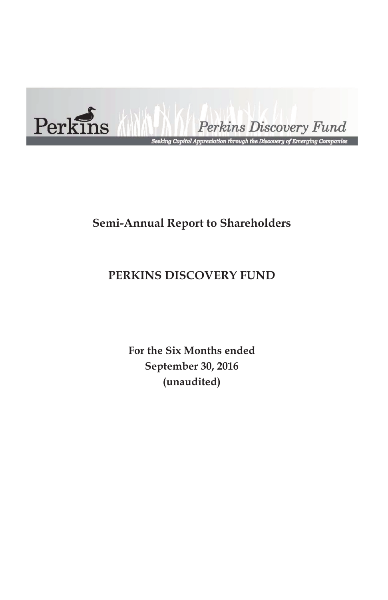

Perkins Discovery Fund

.<br>Seeking Capital Appreciation through the Discovery of Emerging Companies

# **Semi-Annual Report to Shareholders**

# **PERKINS DISCOVERY FUND**

**For the Six Months ended September 30, 2016 (unaudited)**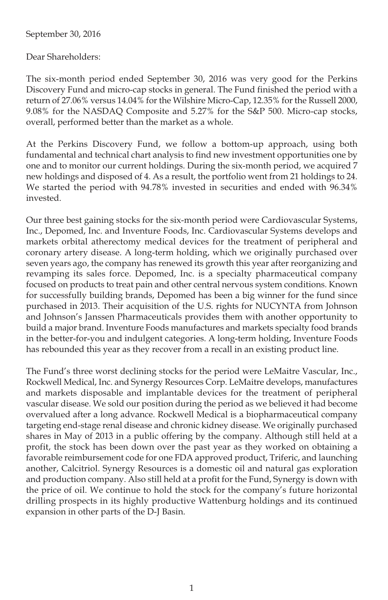#### September 30, 2016

#### Dear Shareholders:

The six-month period ended September 30, 2016 was very good for the Perkins Discovery Fund and micro-cap stocks in general. The Fund finished the period with a return of 27.06% versus 14.04% for the Wilshire Micro-Cap, 12.35% for the Russell 2000, 9.08% for the NASDAQ Composite and 5.27% for the S&P 500. Micro-cap stocks, overall, performed better than the market as a whole.

At the Perkins Discovery Fund, we follow a bottom-up approach, using both fundamental and technical chart analysis to find new investment opportunities one by one and to monitor our current holdings. During the six-month period, we acquired 7 new holdings and disposed of 4. As a result, the portfolio went from 21 holdings to 24. We started the period with 94.78% invested in securities and ended with 96.34% invested.

Our three best gaining stocks for the six-month period were Cardiovascular Systems, Inc., Depomed, Inc. and Inventure Foods, Inc. Cardiovascular Systems develops and markets orbital atherectomy medical devices for the treatment of peripheral and coronary artery disease. A long-term holding, which we originally purchased over seven years ago, the company has renewed its growth this year after reorganizing and revamping its sales force. Depomed, Inc. is a specialty pharmaceutical company focused on products to treat pain and other central nervous system conditions. Known for successfully building brands, Depomed has been a big winner for the fund since purchased in 2013. Their acquisition of the U.S. rights for NUCYNTA from Johnson and Johnson's Janssen Pharmaceuticals provides them with another opportunity to build a major brand. Inventure Foods manufactures and markets specialty food brands in the better-for-you and indulgent categories. A long-term holding, Inventure Foods has rebounded this year as they recover from a recall in an existing product line.

The Fund's three worst declining stocks for the period were LeMaitre Vascular, Inc., Rockwell Medical, Inc. and Synergy Resources Corp. LeMaitre develops, manufactures and markets disposable and implantable devices for the treatment of peripheral vascular disease. We sold our position during the period as we believed it had become overvalued after a long advance. Rockwell Medical is a biopharmaceutical company targeting end-stage renal disease and chronic kidney disease. We originally purchased shares in May of 2013 in a public offering by the company. Although still held at a profit, the stock has been down over the past year as they worked on obtaining a favorable reimbursement code for one FDA approved product, Triferic, and launching another, Calcitriol. Synergy Resources is a domestic oil and natural gas exploration and production company. Also still held at a profit for the Fund, Synergy is down with the price of oil. We continue to hold the stock for the company's future horizontal drilling prospects in its highly productive Wattenburg holdings and its continued expansion in other parts of the D-J Basin.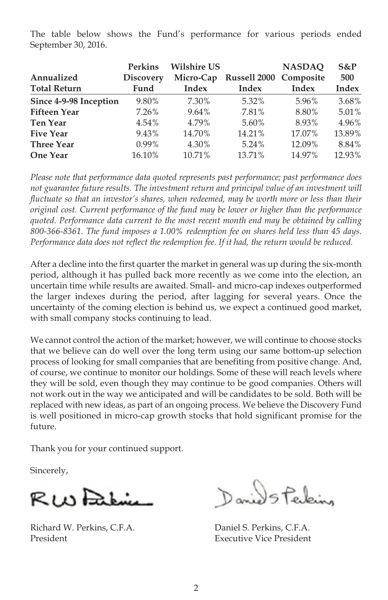|                        | <b>Perkins</b>   | <b>Wilshire US</b> |                                  | <b>NASDAO</b> | $S\&P$ |
|------------------------|------------------|--------------------|----------------------------------|---------------|--------|
| Annualized             | <b>Discovery</b> |                    | Micro-Cap Russell 2000 Composite |               | 500    |
| <b>Total Return</b>    | Fund             | Index              | Index                            | Index         | Index  |
| Since 4-9-98 Inception | 9.80%            | 7.30%              | 5.32%                            | 5.96%         | 3.68%  |
| <b>Fifteen Year</b>    | 7.26%            | 9.64%              | 7.81%                            | 8.80%         | 5.01%  |
| <b>Ten Year</b>        | 4.54%            | 4.79%              | 5.60%                            | 8.93%         | 4.96%  |
| <b>Five Year</b>       | 9.43%            | 14.70%             | 14.21%                           | 17.07%        | 13.89% |
| <b>Three Year</b>      | $0.99\%$         | 4.30%              | 5.24%                            | 12.09%        | 8.84%  |
| <b>One Year</b>        | 16.10%           | 10.71%             | 13.71%                           | 14.97%        | 12.93% |

The table below shows the Fund's performance for various periods ended September 30, 2016.

*Please note that performance data quoted represents past performance; past performance does not guarantee future results. The investment return and principal value of an investment will fluctuate so that an investor's shares, when redeemed, may be worth more or less than their original cost. Current performance of the fund may be lower or higher than the performance quoted. Performance data current to the most recent month end may be obtained by calling 800-366-8361. The fund imposes a 1.00% redemption fee on shares held less than 45 days. Performance data does not reflect the redemption fee. If it had, the return would be reduced.*

After a decline into the first quarter the market in general was up during the six-month period, although it has pulled back more recently as we come into the election, an uncertain time while results are awaited. Small- and micro-cap indexes outperformed the larger indexes during the period, after lagging for several years. Once the uncertainty of the coming election is behind us, we expect a continued good market, with small company stocks continuing to lead.

We cannot control the action of the market; however, we will continue to choose stocks that we believe can do well over the long term using our same bottom-up selection process of looking for small companies that are benefiting from positive change. And, of course, we continue to monitor our holdings. Some of these will reach levels where they will be sold, even though they may continue to be good companies. Others will not work out in the way we anticipated and will be candidates to be sold. Both will be replaced with new ideas, as part of an ongoing process. We believe the Discovery Fund is well positioned in micro-cap growth stocks that hold significant promise for the future.

Thank you for your continued support.

Sincerely,

RW Faching

Richard W. Perkins, C.F.A. Daniel S. Perkins, C.F.A. President Executive Vice President

Daniel Staking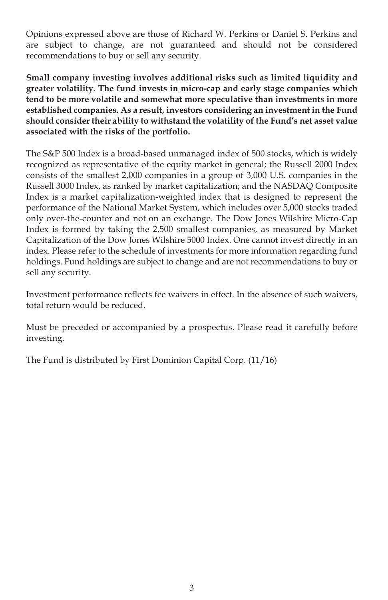Opinions expressed above are those of Richard W. Perkins or Daniel S. Perkins and are subject to change, are not guaranteed and should not be considered recommendations to buy or sell any security.

**Small company investing involves additional risks such as limited liquidity and greater volatility. The fund invests in micro-cap and early stage companies which tend to be more volatile and somewhat more speculative than investments in more established companies. As a result, investors considering an investment in the Fund should consider their ability to withstand the volatility of the Fund's net asset value associated with the risks of the portfolio.**

The S&P 500 Index is a broad-based unmanaged index of 500 stocks, which is widely recognized as representative of the equity market in general; the Russell 2000 Index consists of the smallest 2,000 companies in a group of 3,000 U.S. companies in the Russell 3000 Index, as ranked by market capitalization; and the NASDAQ Composite Index is a market capitalization-weighted index that is designed to represent the performance of the National Market System, which includes over 5,000 stocks traded only over-the-counter and not on an exchange. The Dow Jones Wilshire Micro-Cap Index is formed by taking the 2,500 smallest companies, as measured by Market Capitalization of the Dow Jones Wilshire 5000 Index. One cannot invest directly in an index. Please refer to the schedule of investments for more information regarding fund holdings. Fund holdings are subject to change and are not recommendations to buy or sell any security.

Investment performance reflects fee waivers in effect. In the absence of such waivers, total return would be reduced.

Must be preceded or accompanied by a prospectus. Please read it carefully before investing.

The Fund is distributed by First Dominion Capital Corp. (11/16)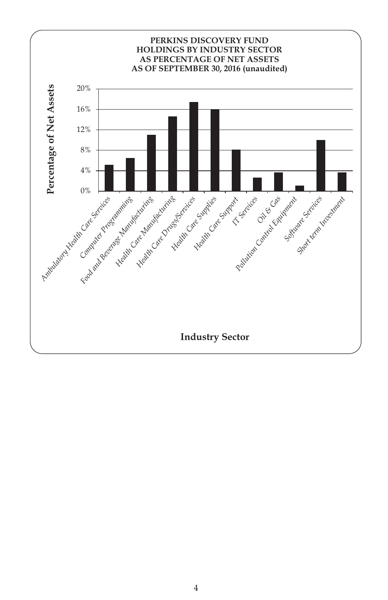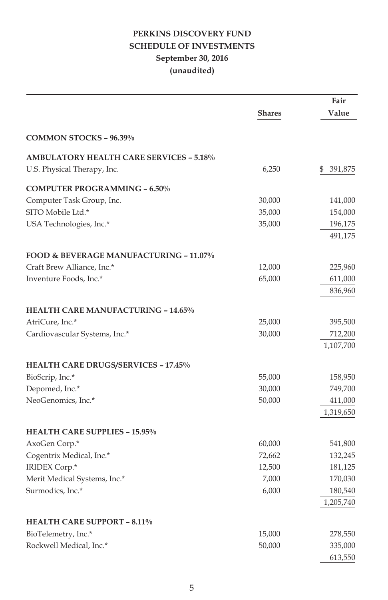# **PERKINS DISCOVERY FUND SCHEDULE OF INVESTMENTS September 30, 2016 (unaudited)**

|                                                   |               | Fair          |
|---------------------------------------------------|---------------|---------------|
|                                                   | <b>Shares</b> | Value         |
| <b>COMMON STOCKS - 96.39%</b>                     |               |               |
| <b>AMBULATORY HEALTH CARE SERVICES - 5.18%</b>    |               |               |
| U.S. Physical Therapy, Inc.                       | 6,250         | 391,875<br>\$ |
| <b>COMPUTER PROGRAMMING - 6.50%</b>               |               |               |
| Computer Task Group, Inc.                         | 30,000        | 141,000       |
| SITO Mobile Ltd.*                                 | 35,000        | 154,000       |
| USA Technologies, Inc.*                           | 35,000        | 196,175       |
|                                                   |               | 491,175       |
| <b>FOOD &amp; BEVERAGE MANUFACTURING - 11.07%</b> |               |               |
| Craft Brew Alliance, Inc.*                        | 12,000        | 225,960       |
| Inventure Foods, Inc.*                            | 65,000        | 611,000       |
|                                                   |               | 836,960       |
| <b>HEALTH CARE MANUFACTURING - 14.65%</b>         |               |               |
| AtriCure, Inc.*                                   | 25,000        | 395,500       |
| Cardiovascular Systems, Inc.*                     | 30,000        | 712,200       |
|                                                   |               | 1,107,700     |
| <b>HEALTH CARE DRUGS/SERVICES - 17.45%</b>        |               |               |
| BioScrip, Inc.*                                   | 55,000        | 158,950       |
| Depomed, Inc.*                                    | 30,000        | 749,700       |
| NeoGenomics, Inc.*                                | 50,000        | 411,000       |
|                                                   |               | 1,319,650     |
| <b>HEALTH CARE SUPPLIES - 15.95%</b>              |               |               |
| AxoGen Corp.*                                     | 60,000        | 541,800       |
| Cogentrix Medical, Inc.*                          | 72,662        | 132,245       |
| IRIDEX Corp.*                                     | 12,500        | 181,125       |
| Merit Medical Systems, Inc.*                      | 7,000         | 170,030       |
| Surmodics, Inc.*                                  | 6,000         | 180,540       |
|                                                   |               | 1,205,740     |
| <b>HEALTH CARE SUPPORT - 8.11%</b>                |               |               |
| BioTelemetry, Inc.*                               | 15,000        | 278,550       |
| Rockwell Medical, Inc.*                           | 50,000        | 335,000       |
|                                                   |               | 613,550       |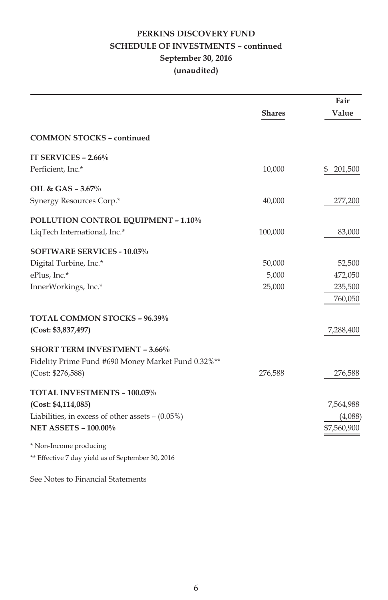# **PERKINS DISCOVERY FUND SCHEDULE OF INVESTMENTS – continued September 30, 2016 (unaudited)**

|                                                     |               | Fair          |
|-----------------------------------------------------|---------------|---------------|
|                                                     | <b>Shares</b> | Value         |
| <b>COMMON STOCKS - continued</b>                    |               |               |
| IT SERVICES - 2.66%                                 |               |               |
| Perficient, Inc.*                                   | 10,000        | 201,500<br>\$ |
| OIL & GAS - 3.67%                                   |               |               |
| Synergy Resources Corp.*                            | 40,000        | 277,200       |
| <b>POLLUTION CONTROL EQUIPMENT - 1.10%</b>          |               |               |
| LiqTech International, Inc.*                        | 100,000       | 83,000        |
| <b>SOFTWARE SERVICES - 10.05%</b>                   |               |               |
| Digital Turbine, Inc.*                              | 50,000        | 52,500        |
| ePlus, Inc.*                                        | 5,000         | 472,050       |
| InnerWorkings, Inc.*                                | 25,000        | 235,500       |
|                                                     |               | 760,050       |
| TOTAL COMMON STOCKS - 96.39%                        |               |               |
| (Cost: \$3,837,497)                                 |               | 7,288,400     |
| <b>SHORT TERM INVESTMENT - 3.66%</b>                |               |               |
| Fidelity Prime Fund #690 Money Market Fund 0.32%**  |               |               |
| (Cost: \$276,588)                                   | 276,588       | 276,588       |
| TOTAL INVESTMENTS - 100.05%                         |               |               |
| (Cost: \$4,114,085)                                 |               | 7,564,988     |
| Liabilities, in excess of other assets $- (0.05\%)$ |               | (4,088)       |
| <b>NET ASSETS - 100.00%</b>                         |               | \$7,560,900   |
| * Non-Income producing                              |               |               |
| ** Effective 7 day yield as of September 30, 2016   |               |               |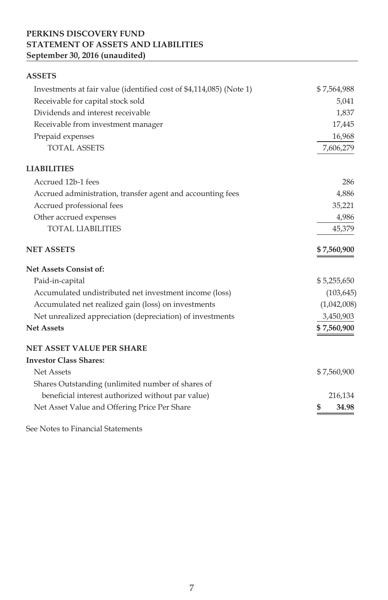#### **PERKINS DISCOVERY FUND STATEMENT OF ASSETS AND LIABILITIES September 30, 2016 (unaudited)**

| <b>ASSETS</b>                                                       |             |
|---------------------------------------------------------------------|-------------|
| Investments at fair value (identified cost of \$4,114,085) (Note 1) | \$7,564,988 |
| Receivable for capital stock sold                                   | 5,041       |
| Dividends and interest receivable                                   | 1,837       |
| Receivable from investment manager                                  | 17,445      |
| Prepaid expenses                                                    | 16,968      |
| <b>TOTAL ASSETS</b>                                                 | 7,606,279   |
| <b>LIABILITIES</b>                                                  |             |
| Accrued 12b-1 fees                                                  | 286         |
| Accrued administration, transfer agent and accounting fees          | 4,886       |
| Accrued professional fees                                           | 35,221      |
| Other accrued expenses                                              | 4,986       |
| <b>TOTAL LIABILITIES</b>                                            | 45,379      |
| <b>NET ASSETS</b>                                                   | \$7,560,900 |
| <b>Net Assets Consist of:</b>                                       |             |
| Paid-in-capital                                                     | \$5,255,650 |
| Accumulated undistributed net investment income (loss)              | (103, 645)  |
| Accumulated net realized gain (loss) on investments                 | (1,042,008) |
| Net unrealized appreciation (depreciation) of investments           | 3,450,903   |
| <b>Net Assets</b>                                                   | \$7,560,900 |
| <b>NET ASSET VALUE PER SHARE</b>                                    |             |
| <b>Investor Class Shares:</b>                                       |             |
| Net Assets                                                          | \$7,560,900 |
| Shares Outstanding (unlimited number of shares of                   |             |
| beneficial interest authorized without par value)                   | 216,134     |
| Net Asset Value and Offering Price Per Share                        | \$<br>34.98 |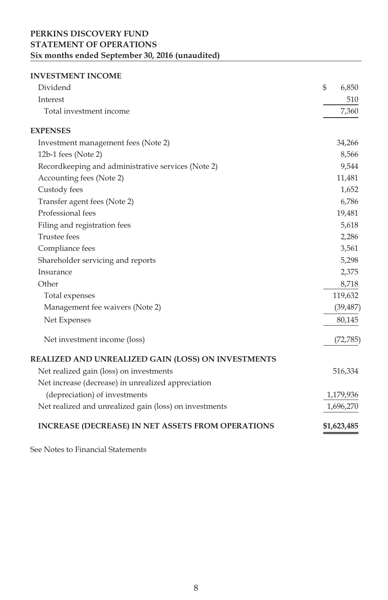#### **PERKINS DISCOVERY FUND STATEMENT OF OPERATIONS Six months ended September 30, 2016 (unaudited)**

# **INVESTMENT INCOME** Dividend \$ 6,850 Interest 510 Total investment income 7,360 **EXPENSES** Investment management fees (Note 2) 34,266 12b-1 fees (Note 2) 8,566 Recordkeeping and administrative services (Note 2) 9,544 Accounting fees (Note 2) 11,481 Custody fees 1,652 Transfer agent fees (Note 2) 6,786 Professional fees 19,481 Filing and registration fees 5,618 Trustee fees 2,286 Compliance fees 3,561 Shareholder servicing and reports 5,298 Insurance 2,375 Other 8,718 Total expenses 119,632 Management fee waivers (Note 2) (39,487) Net Expenses 80,145 Net investment income (loss) (72,785) **REALIZED AND UNREALIZED GAIN (LOSS) ON INVESTMENTS** Net realized gain (loss) on investments 516,334 Net increase (decrease) in unrealized appreciation (depreciation) of investments 1,179,936 Net realized and unrealized gain (loss) on investments 1,696,270 **INCREASE (DECREASE) IN NET ASSETS FROM OPERATIONS \$1,623,485**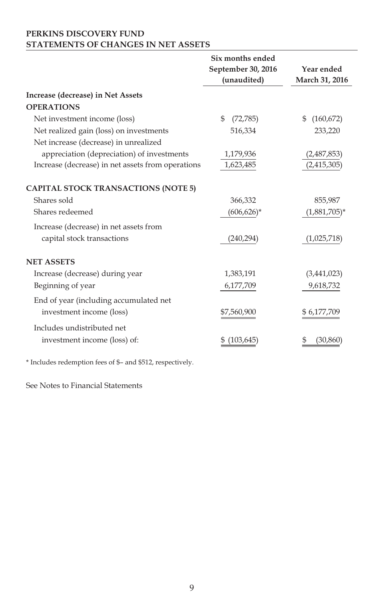#### **PERKINS DISCOVERY FUND STATEMENTS OF CHANGES IN NET ASSETS**

|                                                   | Six months ended   |                   |
|---------------------------------------------------|--------------------|-------------------|
|                                                   | September 30, 2016 | Year ended        |
|                                                   | (unaudited)        | March 31, 2016    |
| Increase (decrease) in Net Assets                 |                    |                   |
| <b>OPERATIONS</b>                                 |                    |                   |
| Net investment income (loss)                      | (72, 785)<br>S     | (160, 672)<br>\$. |
| Net realized gain (loss) on investments           | 516,334            | 233,220           |
| Net increase (decrease) in unrealized             |                    |                   |
| appreciation (depreciation) of investments        | 1,179,936          | (2,487,853)       |
| Increase (decrease) in net assets from operations | 1,623,485          | (2,415,305)       |
| <b>CAPITAL STOCK TRANSACTIONS (NOTE 5)</b>        |                    |                   |
| Shares sold                                       | 366,332            | 855,987           |
| Shares redeemed                                   | (606,626)*         | $(1,881,705)^*$   |
| Increase (decrease) in net assets from            |                    |                   |
| capital stock transactions                        | (240,294)          | (1,025,718)       |
| <b>NET ASSETS</b>                                 |                    |                   |
| Increase (decrease) during year                   | 1,383,191          | (3,441,023)       |
| Beginning of year                                 | 6,177,709          | 9,618,732         |
| End of year (including accumulated net            |                    |                   |
| investment income (loss)                          | \$7,560,900        | \$6,177,709       |
| Includes undistributed net                        |                    |                   |
| investment income (loss) of:                      | (103,645           | (30,860           |

\* Includes redemption fees of \$– and \$512, respectively.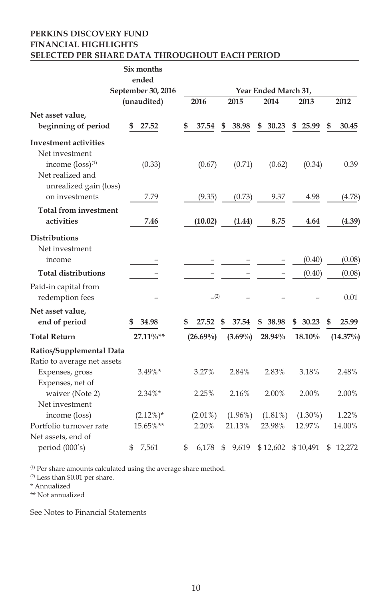#### **PERKINS DISCOVERY FUND FINANCIAL HIGHLIGHTS SELECTED PER SHARE DATA THROUGHOUT EACH PERIOD**

|                                                                                                                              | Six months<br>ended |    |             |    |            |                      |    |            |    |             |
|------------------------------------------------------------------------------------------------------------------------------|---------------------|----|-------------|----|------------|----------------------|----|------------|----|-------------|
|                                                                                                                              | September 30, 2016  |    |             |    |            | Year Ended March 31, |    |            |    |             |
|                                                                                                                              | (unaudited)         |    | 2016        |    | 2015       | 2014                 |    | 2013       |    | 2012        |
| Net asset value,<br>beginning of period                                                                                      | 27.52<br>S          | S  | 37.54       | S  | 38.98      | \$<br>30.23          | S  | 25.99      | S  | 30.45       |
| <b>Investment activities</b><br>Net investment<br>income (loss) <sup>(1)</sup><br>Net realized and<br>unrealized gain (loss) | (0.33)              |    | (0.67)      |    | (0.71)     | (0.62)               |    | (0.34)     |    | 0.39        |
| on investments                                                                                                               | 7.79                |    | (9.35)      |    | (0.73)     | 9.37                 |    | 4.98       |    | (4.78)      |
| <b>Total from investment</b><br>activities                                                                                   | 7.46                |    | (10.02)     |    | (1.44)     | 8.75                 |    | 4.64       |    | (4.39)      |
| <b>Distributions</b><br>Net investment<br>income                                                                             |                     |    |             |    |            |                      |    | (0.40)     |    | (0.08)      |
| <b>Total distributions</b>                                                                                                   |                     |    |             |    |            |                      |    | (0.40)     |    | (0.08)      |
| Paid-in capital from<br>redemption fees                                                                                      |                     |    | (2)         |    |            |                      |    |            |    | 0.01        |
| Net asset value,<br>end of period                                                                                            | 34.98               |    | 27.52       | \$ | 37.54      | \$<br>38.98          | \$ | 30.23      | S  | 25.99       |
| <b>Total Return</b>                                                                                                          | 27.11%**            |    | $(26.69\%)$ |    | $(3.69\%)$ | 28.94%               |    | 18.10%     |    | $(14.37\%)$ |
| Ratios/Supplemental Data<br>Ratio to average net assets                                                                      |                     |    |             |    |            |                      |    |            |    |             |
| Expenses, gross<br>Expenses, net of                                                                                          | $3.49\%*$           |    | 3.27%       |    | 2.84%      | 2.83%                |    | 3.18%      |    | 2.48%       |
| waiver (Note 2)<br>Net investment                                                                                            | $2.34\%*$           |    | 2.25%       |    | 2.16%      | 2.00%                |    | 2.00%      |    | 2.00%       |
| income (loss)                                                                                                                | $(2.12\%)^*$        |    | $(2.01\%)$  |    | $(1.96\%)$ | $(1.81\%)$           |    | $(1.30\%)$ |    | 1.22%       |
| Portfolio turnover rate<br>Net assets, end of                                                                                | 15.65%**            |    | 2.20%       |    | 21.13%     | 23.98%               |    | 12.97%     |    | 14.00%      |
| period (000's)                                                                                                               | 7,561<br>\$         | \$ | 6,178       | \$ | 9,619      | \$12,602             |    | \$10,491   | \$ | 12,272      |

(1) Per share amounts calculated using the average share method.

(2) Less than \$0.01 per share.

\* Annualized

\*\* Not annualized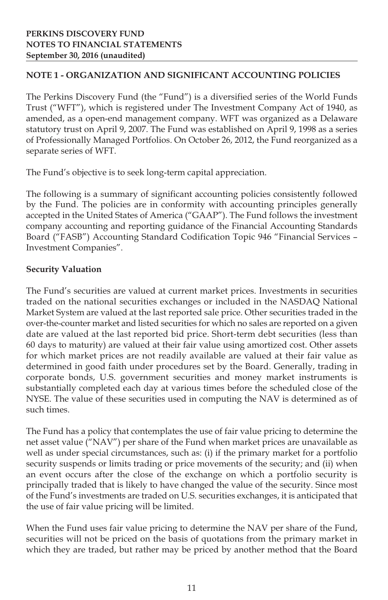# **NOTE 1 - ORGANIZATION AND SIGNIFICANT ACCOUNTING POLICIES**

The Perkins Discovery Fund (the "Fund") is a diversified series of the World Funds Trust ("WFT"), which is registered under The Investment Company Act of 1940, as amended, as a open-end management company. WFT was organized as a Delaware statutory trust on April 9, 2007. The Fund was established on April 9, 1998 as a series of Professionally Managed Portfolios. On October 26, 2012, the Fund reorganized as a separate series of WFT.

The Fund's objective is to seek long-term capital appreciation.

The following is a summary of significant accounting policies consistently followed by the Fund. The policies are in conformity with accounting principles generally accepted in the United States of America ("GAAP"). The Fund follows the investment company accounting and reporting guidance of the Financial Accounting Standards Board ("FASB") Accounting Standard Codification Topic 946 "Financial Services – Investment Companies".

# **Security Valuation**

The Fund's securities are valued at current market prices. Investments in securities traded on the national securities exchanges or included in the NASDAQ National Market System are valued at the last reported sale price. Other securities traded in the over-the-counter market and listed securities for which no sales are reported on a given date are valued at the last reported bid price. Short-term debt securities (less than 60 days to maturity) are valued at their fair value using amortized cost. Other assets for which market prices are not readily available are valued at their fair value as determined in good faith under procedures set by the Board. Generally, trading in corporate bonds, U.S. government securities and money market instruments is substantially completed each day at various times before the scheduled close of the NYSE. The value of these securities used in computing the NAV is determined as of such times.

The Fund has a policy that contemplates the use of fair value pricing to determine the net asset value ("NAV") per share of the Fund when market prices are unavailable as well as under special circumstances, such as: (i) if the primary market for a portfolio security suspends or limits trading or price movements of the security; and (ii) when an event occurs after the close of the exchange on which a portfolio security is principally traded that is likely to have changed the value of the security. Since most of the Fund's investments are traded on U.S. securities exchanges, it is anticipated that the use of fair value pricing will be limited.

When the Fund uses fair value pricing to determine the NAV per share of the Fund, securities will not be priced on the basis of quotations from the primary market in which they are traded, but rather may be priced by another method that the Board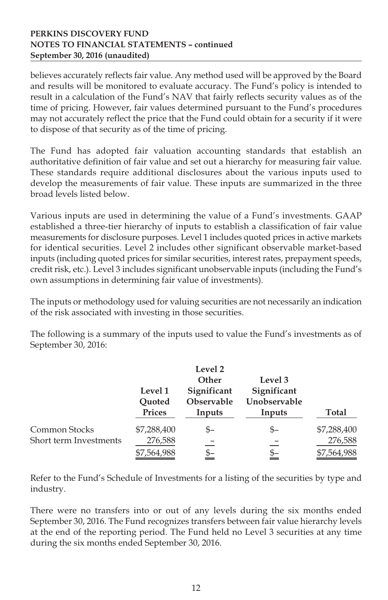#### **PERKINS DISCOVERY FUND NOTES TO FINANCIAL STATEMENTS – continued September 30, 2016 (unaudited)**

believes accurately reflects fair value. Any method used will be approved by the Board and results will be monitored to evaluate accuracy. The Fund's policy is intended to result in a calculation of the Fund's NAV that fairly reflects security values as of the time of pricing. However, fair values determined pursuant to the Fund's procedures may not accurately reflect the price that the Fund could obtain for a security if it were to dispose of that security as of the time of pricing.

The Fund has adopted fair valuation accounting standards that establish an authoritative definition of fair value and set out a hierarchy for measuring fair value. These standards require additional disclosures about the various inputs used to develop the measurements of fair value. These inputs are summarized in the three broad levels listed below.

Various inputs are used in determining the value of a Fund's investments. GAAP established a three-tier hierarchy of inputs to establish a classification of fair value measurements for disclosure purposes. Level 1 includes quoted prices in active markets for identical securities. Level 2 includes other significant observable market-based inputs (including quoted prices for similar securities, interest rates, prepayment speeds, credit risk, etc.). Level 3 includes significant unobservable inputs (including the Fund's own assumptions in determining fair value of investments).

The inputs or methodology used for valuing securities are not necessarily an indication of the risk associated with investing in those securities.

The following is a summary of the inputs used to value the Fund's investments as of September 30, 2016:

|                        | Level 1<br>Ouoted<br>Prices | Level 2<br>Other<br>Significant<br>Observable<br>Inputs | Level 3<br>Significant<br>Unobservable<br>Inputs | Total       |
|------------------------|-----------------------------|---------------------------------------------------------|--------------------------------------------------|-------------|
| Common Stocks          | \$7,288,400                 | \$–                                                     | \$–                                              | \$7,288,400 |
| Short term Investments | 276,588                     |                                                         |                                                  | 276,588     |
|                        | \$7,564,988                 | \$–                                                     | \$–                                              | \$7,564,988 |

Refer to the Fund's Schedule of Investments for a listing of the securities by type and industry.

There were no transfers into or out of any levels during the six months ended September 30, 2016. The Fund recognizes transfers between fair value hierarchy levels at the end of the reporting period. The Fund held no Level 3 securities at any time during the six months ended September 30, 2016.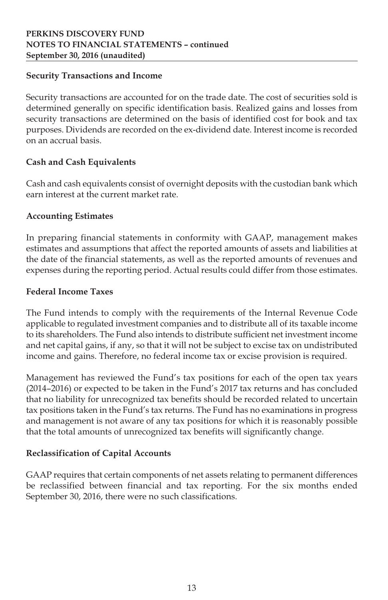#### **Security Transactions and Income**

Security transactions are accounted for on the trade date. The cost of securities sold is determined generally on specific identification basis. Realized gains and losses from security transactions are determined on the basis of identified cost for book and tax purposes. Dividends are recorded on the ex-dividend date. Interest income is recorded on an accrual basis.

# **Cash and Cash Equivalents**

Cash and cash equivalents consist of overnight deposits with the custodian bank which earn interest at the current market rate.

# **Accounting Estimates**

In preparing financial statements in conformity with GAAP, management makes estimates and assumptions that affect the reported amounts of assets and liabilities at the date of the financial statements, as well as the reported amounts of revenues and expenses during the reporting period. Actual results could differ from those estimates.

# **Federal Income Taxes**

The Fund intends to comply with the requirements of the Internal Revenue Code applicable to regulated investment companies and to distribute all of its taxable income to its shareholders. The Fund also intends to distribute sufficient net investment income and net capital gains, if any, so that it will not be subject to excise tax on undistributed income and gains. Therefore, no federal income tax or excise provision is required.

Management has reviewed the Fund's tax positions for each of the open tax years (2014–2016) or expected to be taken in the Fund's 2017 tax returns and has concluded that no liability for unrecognized tax benefits should be recorded related to uncertain tax positions taken in the Fund's tax returns. The Fund has no examinations in progress and management is not aware of any tax positions for which it is reasonably possible that the total amounts of unrecognized tax benefits will significantly change.

# **Reclassification of Capital Accounts**

GAAP requires that certain components of net assets relating to permanent differences be reclassified between financial and tax reporting. For the six months ended September 30, 2016, there were no such classifications.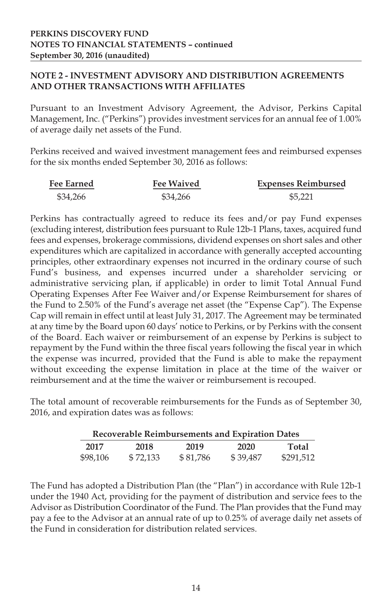# **NOTE 2 - INVESTMENT ADVISORY AND DISTRIBUTION AGREEMENTS AND OTHER TRANSACTIONS WITH AFFILIATES**

Pursuant to an Investment Advisory Agreement, the Advisor, Perkins Capital Management, Inc. ("Perkins") provides investment services for an annual fee of 1.00% of average daily net assets of the Fund.

Perkins received and waived investment management fees and reimbursed expenses for the six months ended September 30, 2016 as follows:

| <b>Fee Earned</b> | <b>Fee Waived</b> | <b>Expenses Reimbursed</b> |
|-------------------|-------------------|----------------------------|
| \$34,266          | \$34,266          | \$5,221                    |

Perkins has contractually agreed to reduce its fees and/or pay Fund expenses (excluding interest, distribution fees pursuant to Rule 12b-1 Plans, taxes, acquired fund fees and expenses, brokerage commissions, dividend expenses on short sales and other expenditures which are capitalized in accordance with generally accepted accounting principles, other extraordinary expenses not incurred in the ordinary course of such Fund's business, and expenses incurred under a shareholder servicing or administrative servicing plan, if applicable) in order to limit Total Annual Fund Operating Expenses After Fee Waiver and/or Expense Reimbursement for shares of the Fund to 2.50% of the Fund's average net asset (the "Expense Cap"). The Expense Cap will remain in effect until at least July 31, 2017. The Agreement may be terminated at any time by the Board upon 60 days' notice to Perkins, or by Perkins with the consent of the Board. Each waiver or reimbursement of an expense by Perkins is subject to repayment by the Fund within the three fiscal years following the fiscal year in which the expense was incurred, provided that the Fund is able to make the repayment without exceeding the expense limitation in place at the time of the waiver or reimbursement and at the time the waiver or reimbursement is recouped.

The total amount of recoverable reimbursements for the Funds as of September 30, 2016, and expiration dates was as follows:

|          | Recoverable Reimbursements and Expiration Dates |          |          |           |
|----------|-------------------------------------------------|----------|----------|-----------|
| 2017     | 2018                                            | 2019     | 2020     | Total     |
| \$98,106 | \$72,133                                        | \$81,786 | \$39,487 | \$291,512 |

The Fund has adopted a Distribution Plan (the "Plan") in accordance with Rule 12b-1 under the 1940 Act, providing for the payment of distribution and service fees to the Advisor as Distribution Coordinator of the Fund. The Plan provides that the Fund may pay a fee to the Advisor at an annual rate of up to 0.25% of average daily net assets of the Fund in consideration for distribution related services.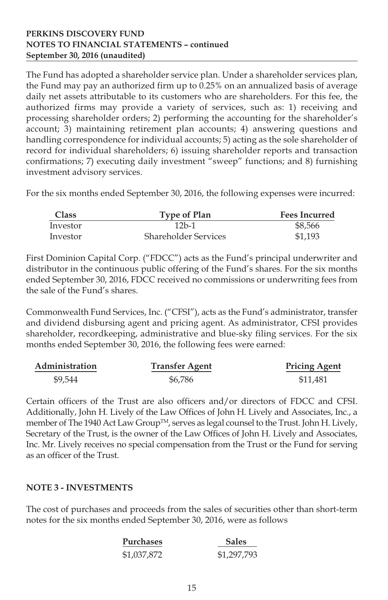#### **PERKINS DISCOVERY FUND NOTES TO FINANCIAL STATEMENTS – continued September 30, 2016 (unaudited)**

The Fund has adopted a shareholder service plan. Under a shareholder services plan, the Fund may pay an authorized firm up to 0.25% on an annualized basis of average daily net assets attributable to its customers who are shareholders. For this fee, the authorized firms may provide a variety of services, such as: 1) receiving and processing shareholder orders; 2) performing the accounting for the shareholder's account; 3) maintaining retirement plan accounts; 4) answering questions and handling correspondence for individual accounts; 5) acting as the sole shareholder of record for individual shareholders; 6) issuing shareholder reports and transaction confirmations; 7) executing daily investment "sweep" functions; and 8) furnishing investment advisory services.

For the six months ended September 30, 2016, the following expenses were incurred:

| <b>Class</b> | <b>Type of Plan</b>         | <b>Fees Incurred</b> |
|--------------|-----------------------------|----------------------|
| Investor     | $12b-1$                     | \$8,566              |
| Investor     | <b>Shareholder Services</b> | \$1,193              |

First Dominion Capital Corp. ("FDCC") acts as the Fund's principal underwriter and distributor in the continuous public offering of the Fund's shares. For the six months ended September 30, 2016, FDCC received no commissions or underwriting fees from the sale of the Fund's shares.

Commonwealth Fund Services, Inc. ("CFSI"), acts as the Fund's administrator, transfer and dividend disbursing agent and pricing agent. As administrator, CFSI provides shareholder, recordkeeping, administrative and blue-sky filing services. For the six months ended September 30, 2016, the following fees were earned:

| Administration | <b>Transfer Agent</b> | <b>Pricing Agent</b> |  |
|----------------|-----------------------|----------------------|--|
| \$9,544        | \$6.786               | \$11.481             |  |

Certain officers of the Trust are also officers and/or directors of FDCC and CFSI. Additionally, John H. Lively of the Law Offices of John H. Lively and Associates, Inc., a member of The 1940 Act Law Group<sup>TM</sup>, serves as legal counsel to the Trust. John H. Lively, Secretary of the Trust, is the owner of the Law Offices of John H. Lively and Associates, Inc. Mr. Lively receives no special compensation from the Trust or the Fund for serving as an officer of the Trust.

# **NOTE 3 - INVESTMENTS**

The cost of purchases and proceeds from the sales of securities other than short-term notes for the six months ended September 30, 2016, were as follows

| <b>Purchases</b> | <b>Sales</b> |
|------------------|--------------|
| \$1,037,872      | \$1,297,793  |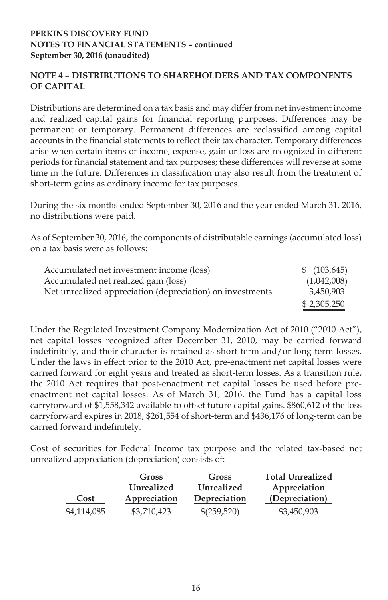# **NOTE 4 – DISTRIBUTIONS TO SHAREHOLDERS AND TAX COMPONENTS OF CAPITAL**

Distributions are determined on a tax basis and may differ from net investment income and realized capital gains for financial reporting purposes. Differences may be permanent or temporary. Permanent differences are reclassified among capital accounts in the financial statements to reflect their tax character. Temporary differences arise when certain items of income, expense, gain or loss are recognized in different periods for financial statement and tax purposes; these differences will reverse at some time in the future. Differences in classification may also result from the treatment of short-term gains as ordinary income for tax purposes.

During the six months ended September 30, 2016 and the year ended March 31, 2016, no distributions were paid.

As of September 30, 2016, the components of distributable earnings (accumulated loss) on a tax basis were as follows:

| Accumulated net investment income (loss)                  | \$ (103,645) |
|-----------------------------------------------------------|--------------|
| Accumulated net realized gain (loss)                      | (1,042,008)  |
| Net unrealized appreciation (depreciation) on investments | 3,450,903    |
|                                                           | \$2,305,250  |

Under the Regulated Investment Company Modernization Act of 2010 ("2010 Act"), net capital losses recognized after December 31, 2010, may be carried forward indefinitely, and their character is retained as short-term and/or long-term losses. Under the laws in effect prior to the 2010 Act, pre-enactment net capital losses were carried forward for eight years and treated as short-term losses. As a transition rule, the 2010 Act requires that post-enactment net capital losses be used before preenactment net capital losses. As of March 31, 2016, the Fund has a capital loss carryforward of \$1,558,342 available to offset future capital gains. \$860,612 of the loss carryforward expires in 2018, \$261,554 of short-term and \$436,176 of long-term can be carried forward indefinitely.

Cost of securities for Federal Income tax purpose and the related tax-based net unrealized appreciation (depreciation) consists of:

|             | Gross        | Gross        | <b>Total Unrealized</b> |
|-------------|--------------|--------------|-------------------------|
|             | Unrealized   | Unrealized   | Appreciation            |
| Cost        | Appreciation | Depreciation | (Depreciation)          |
| \$4,114,085 | \$3,710,423  | \$(259,520)  | \$3,450,903             |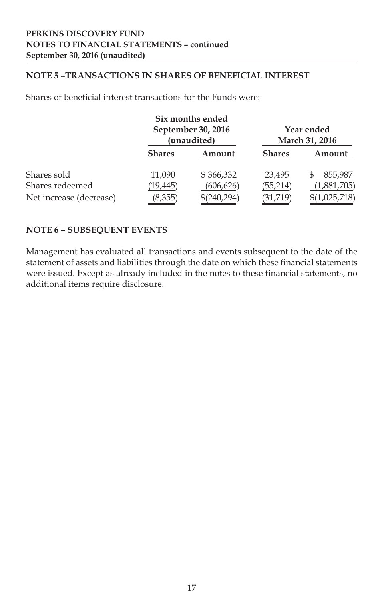#### **NOTE 5 –TRANSACTIONS IN SHARES OF BENEFICIAL INTEREST**

Shares of beneficial interest transactions for the Funds were:

|                         | Six months ended<br>September 30, 2016<br>(unaudited) |             | Year ended<br>March 31, 2016 |               |
|-------------------------|-------------------------------------------------------|-------------|------------------------------|---------------|
|                         | <b>Shares</b>                                         | Amount      | <b>Shares</b>                | Amount        |
| Shares sold             | 11,090                                                | \$366,332   | 23,495                       | 855,987       |
| Shares redeemed         | (19,445)                                              | (606, 626)  | (55, 214)                    | (1,881,705)   |
| Net increase (decrease) | (8,355)                                               | \$(240,294) | (31, 719)                    | \$(1,025,718) |

#### **NOTE 6 – SUBSEQUENT EVENTS**

Management has evaluated all transactions and events subsequent to the date of the statement of assets and liabilities through the date on which these financial statements were issued. Except as already included in the notes to these financial statements, no additional items require disclosure.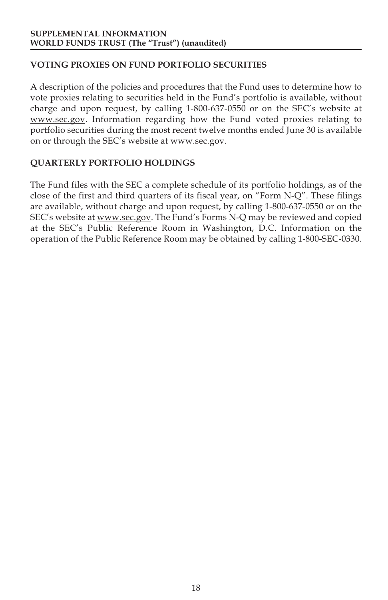#### **VOTING PROXIES ON FUND PORTFOLIO SECURITIES**

A description of the policies and procedures that the Fund uses to determine how to vote proxies relating to securities held in the Fund's portfolio is available, without charge and upon request, by calling 1-800-637-0550 or on the SEC's website at www.sec.gov. Information regarding how the Fund voted proxies relating to portfolio securities during the most recent twelve months ended June 30 is available on or through the SEC's website at www.sec.gov.

# **QUARTERLY PORTFOLIO HOLDINGS**

The Fund files with the SEC a complete schedule of its portfolio holdings, as of the close of the first and third quarters of its fiscal year, on "Form N-Q". These filings are available, without charge and upon request, by calling 1-800-637-0550 or on the SEC's website at www.sec.gov. The Fund's Forms N-Q may be reviewed and copied at the SEC's Public Reference Room in Washington, D.C. Information on the operation of the Public Reference Room may be obtained by calling 1-800-SEC-0330.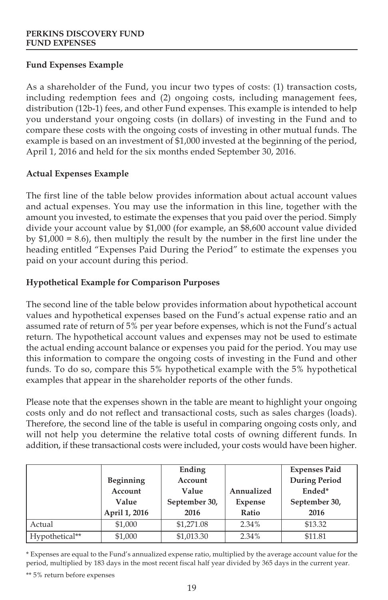# **Fund Expenses Example**

As a shareholder of the Fund, you incur two types of costs: (1) transaction costs, including redemption fees and (2) ongoing costs, including management fees, distribution (12b-1) fees, and other Fund expenses. This example is intended to help you understand your ongoing costs (in dollars) of investing in the Fund and to compare these costs with the ongoing costs of investing in other mutual funds. The example is based on an investment of \$1,000 invested at the beginning of the period, April 1, 2016 and held for the six months ended September 30, 2016.

# **Actual Expenses Example**

The first line of the table below provides information about actual account values and actual expenses. You may use the information in this line, together with the amount you invested, to estimate the expenses that you paid over the period. Simply divide your account value by \$1,000 (for example, an \$8,600 account value divided by \$1,000 = 8.6), then multiply the result by the number in the first line under the heading entitled "Expenses Paid During the Period" to estimate the expenses you paid on your account during this period.

# **Hypothetical Example for Comparison Purposes**

The second line of the table below provides information about hypothetical account values and hypothetical expenses based on the Fund's actual expense ratio and an assumed rate of return of 5% per year before expenses, which is not the Fund's actual return. The hypothetical account values and expenses may not be used to estimate the actual ending account balance or expenses you paid for the period. You may use this information to compare the ongoing costs of investing in the Fund and other funds. To do so, compare this 5% hypothetical example with the 5% hypothetical examples that appear in the shareholder reports of the other funds.

Please note that the expenses shown in the table are meant to highlight your ongoing costs only and do not reflect and transactional costs, such as sales charges (loads). Therefore, the second line of the table is useful in comparing ongoing costs only, and will not help you determine the relative total costs of owning different funds. In addition, if these transactional costs were included, your costs would have been higher.

|                |               | Ending        |            | <b>Expenses Paid</b> |
|----------------|---------------|---------------|------------|----------------------|
|                | Beginning     | Account       |            | <b>During Period</b> |
|                | Account       | Value         | Annualized | Ended*               |
|                | Value         | September 30, | Expense    | September 30,        |
|                | April 1, 2016 | 2016          | Ratio      | 2016                 |
| Actual         | \$1,000       | \$1,271.08    | 2.34%      | \$13.32              |
| Hypothetical** | \$1,000       | \$1,013.30    | 2.34%      | \$11.81              |

\* Expenses are equal to the Fund's annualized expense ratio, multiplied by the average account value for the period, multiplied by 183 days in the most recent fiscal half year divided by 365 days in the current year.

\*\* 5% return before expenses